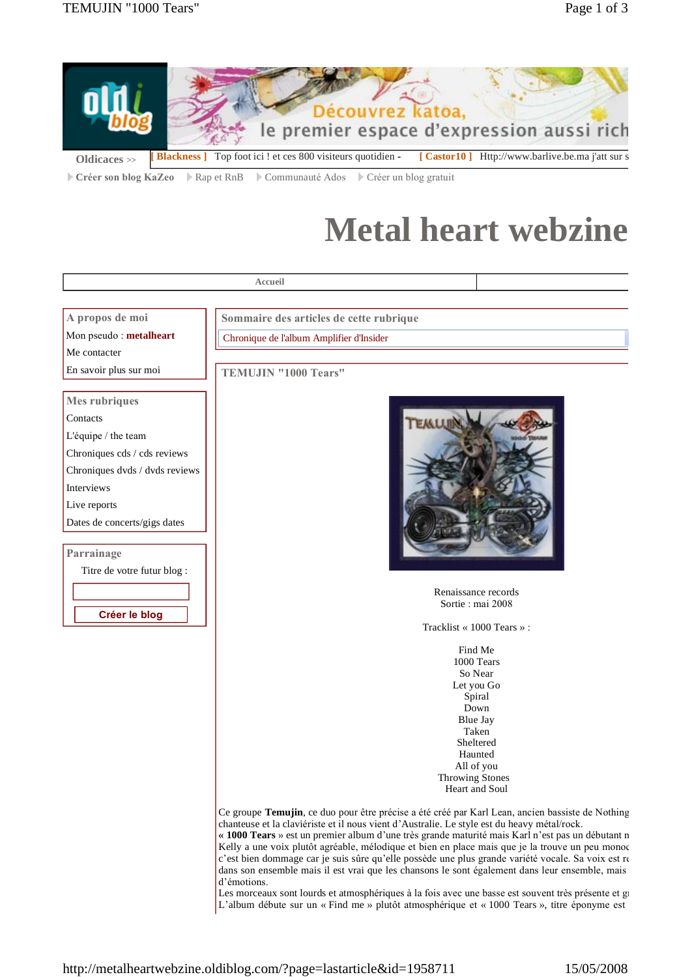

Créer son blog KaZeo | Rap et RnB | Communauté Ados | Créer un blog gratuit

## **Metal heart webzine**



Kelly a une voix plutôt agréable, mélodique et bien en place mais que je la trouve un peu monoc c'est bien dommage car je suis sûre qu'elle possède une plus grande variété vocale. Sa voix est re dans son ensemble mais il est vrai que les chansons le sont également dans leur ensemble, mais d'émotions.

Les morceaux sont lourds et atmosphériques à la fois avec une basse est souvent très présente et g L'album débute sur un « Find me » plutôt atmosphérique et « 1000 Tears », titre éponyme est